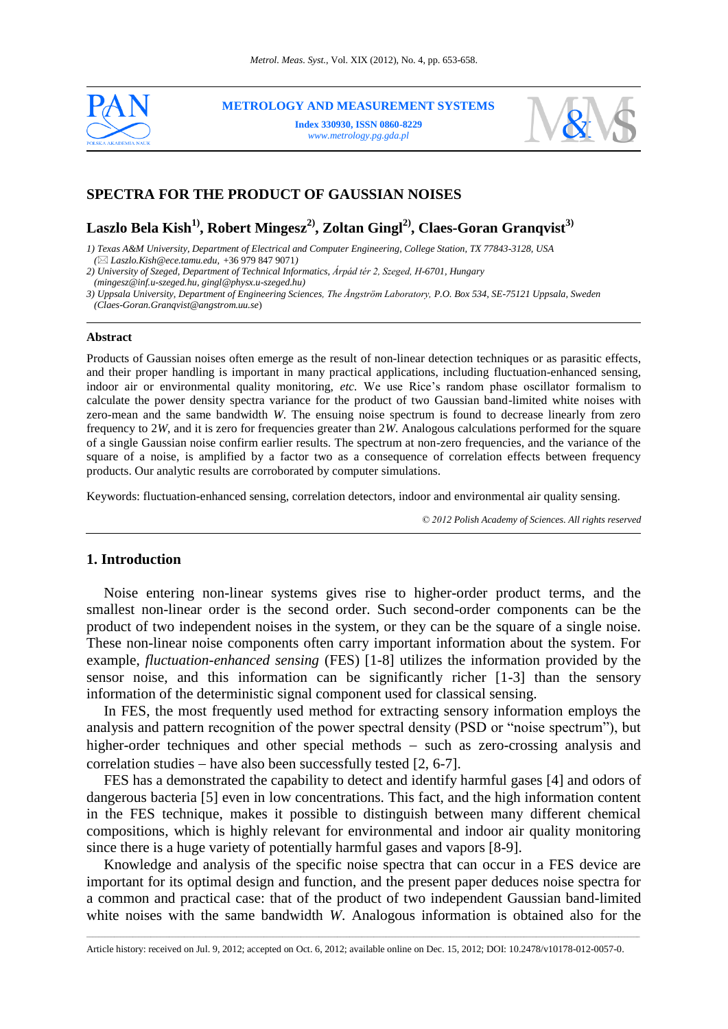

**METROLOGY AND MEASUREMENT SYSTEMS Index 330930, ISSN 0860-8229**

*www.metrology.pg.gda.pl*



# **SPECTRA FOR THE PRODUCT OF GAUSSIAN NOISES**

**Laszlo Bela Kish1), Robert Mingesz2), Zoltan Gingl2), Claes-Goran Granqvist3)**

*1) Texas A&M University, Department of Electrical and Computer Engineering, College Station, TX 77843-3128, USA*

 *( Laszlo.Kish@ece.tamu.edu,* +36 979 847 9071*)*

*2) University of Szeged, Department of Technical Informatics, Árpád tér 2, Szeged, H-6701, Hungary*

 *(mingesz@inf.u-szeged.hu, gingl@physx.u-szeged.hu)*

*3) Uppsala University, Department of Engineering Sciences, The Ångström Laboratory, P.O. Box 534, SE-75121 Uppsala, Sweden*

 *(Claes-Goran.Granqvist@angstrom.uu.se*)

#### **Abstract**

Products of Gaussian noises often emerge as the result of non-linear detection techniques or as parasitic effects, and their proper handling is important in many practical applications, including fluctuation-enhanced sensing, indoor air or environmental quality monitoring, *etc.* We use Rice's random phase oscillator formalism to calculate the power density spectra variance for the product of two Gaussian band-limited white noises with zero-mean and the same bandwidth *W*. The ensuing noise spectrum is found to decrease linearly from zero frequency to 2*W*, and it is zero for frequencies greater than 2*W*. Analogous calculations performed for the square of a single Gaussian noise confirm earlier results. The spectrum at non-zero frequencies, and the variance of the square of a noise, is amplified by a factor two as a consequence of correlation effects between frequency products. Our analytic results are corroborated by computer simulations.

Keywords: fluctuation-enhanced sensing, correlation detectors, indoor and environmental air quality sensing.

*© 2012 Polish Academy of Sciences. All rights reserved*

### **1. Introduction**

Noise entering non-linear systems gives rise to higher-order product terms, and the smallest non-linear order is the second order. Such second-order components can be the product of two independent noises in the system, or they can be the square of a single noise. These non-linear noise components often carry important information about the system. For example, *fluctuation-enhanced sensing* (FES) [1-8] utilizes the information provided by the sensor noise, and this information can be significantly richer [1-3] than the sensory information of the deterministic signal component used for classical sensing.

In FES, the most frequently used method for extracting sensory information employs the analysis and pattern recognition of the power spectral density (PSD or "noise spectrum"), but higher-order techniques and other special methods  $-$  such as zero-crossing analysis and correlation studies  $-$  have also been successfully tested  $[2, 6-7]$ .

FES has a demonstrated the capability to detect and identify harmful gases [4] and odors of dangerous bacteria [5] even in low concentrations. This fact, and the high information content in the FES technique, makes it possible to distinguish between many different chemical compositions, which is highly relevant for environmental and indoor air quality monitoring since there is a huge variety of potentially harmful gases and vapors [8-9].

Knowledge and analysis of the specific noise spectra that can occur in a FES device are important for its optimal design and function, and the present paper deduces noise spectra for a common and practical case: that of the product of two independent Gaussian band-limited white noises with the same bandwidth *W*. Analogous information is obtained also for the

\_\_\_\_\_\_\_\_\_\_\_\_\_\_\_\_\_\_\_\_\_\_\_\_\_\_\_\_\_\_\_\_\_\_\_\_\_\_\_\_\_\_\_\_\_\_\_\_\_\_\_\_\_\_\_\_\_\_\_\_\_\_\_\_\_\_\_\_\_\_\_\_\_\_\_\_\_\_\_\_\_\_\_\_\_\_\_\_\_\_\_\_\_\_\_\_\_\_\_\_\_\_\_\_\_\_\_\_\_\_\_\_\_\_\_\_\_\_\_\_\_\_\_\_\_\_\_\_\_\_\_\_\_\_\_\_\_\_\_\_\_\_\_\_\_\_\_\_\_\_\_\_\_\_\_\_\_\_\_\_\_\_\_\_\_\_\_\_\_\_\_\_\_\_\_\_\_\_\_\_\_ Article history: received on Jul. 9, 2012; accepted on Oct. 6, 2012; available online on Dec. 15, 2012; DOI: 10.2478/v10178-012-0057-0.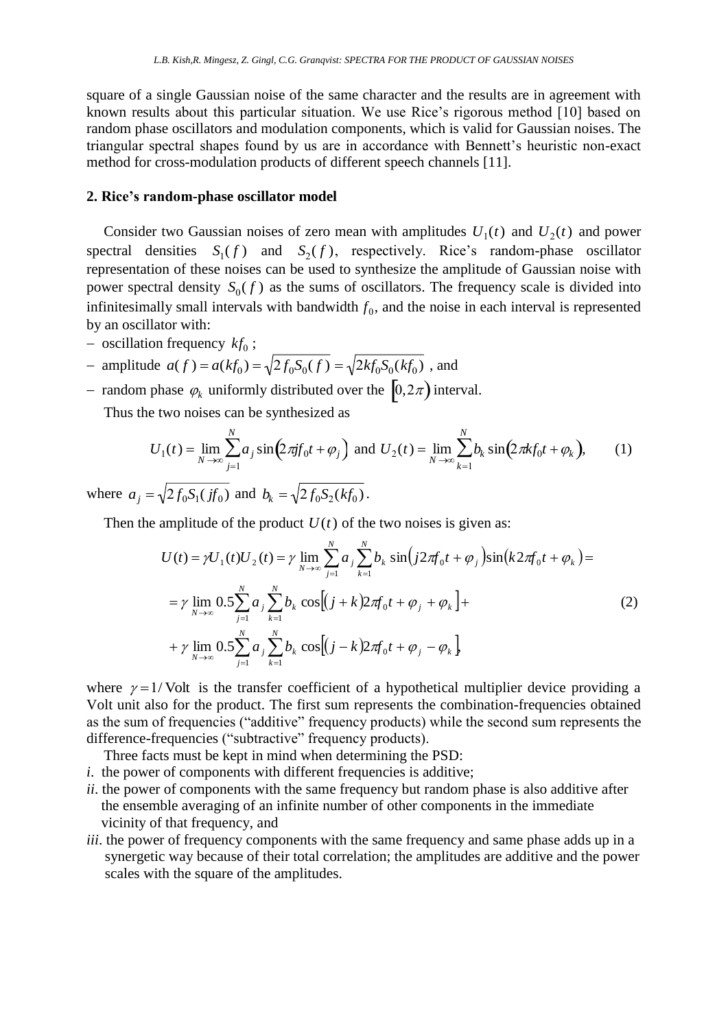square of a single Gaussian noise of the same character and the results are in agreement with known results about this particular situation. We use Rice's rigorous method [10] based on random phase oscillators and modulation components, which is valid for Gaussian noises. The triangular spectral shapes found by us are in accordance with Bennett's heuristic non-exact method for cross-modulation products of different speech channels [11].

## **2. Rice's random-phase oscillator model**

Consider two Gaussian noises of zero mean with amplitudes  $U_1(t)$  and  $U_2(t)$  and power power spectral density  $S_0(f)$  as the sums of oscillators. The frequency scale is divided into spectral densities  $S_1(f)$  and  $S_2(f)$ , respectively. Rice's random-phase oscillator representation of these noises can be used to synthesize the amplitude of Gaussian noise with infinitesimally small intervals with bandwidth  $f_0$ , and the noise in each interval is represented by an oscillator with:

 $-$  oscillation frequency  $kf_0$ ;

- amplitude 
$$
a(f) = a(kf_0) = \sqrt{2f_0S_0(f)} = \sqrt{2kf_0S_0(kf_0)}
$$
, and

- random phase  $\varphi_k$  uniformly distributed over the  $[0, 2\pi)$  interval.

Thus the two noises can be synthesized as

$$
U_1(t) = \lim_{N \to \infty} \sum_{j=1}^{N} a_j \sin(2\pi j f_0 t + \varphi_j) \text{ and } U_2(t) = \lim_{N \to \infty} \sum_{k=1}^{N} b_k \sin(2\pi k f_0 t + \varphi_k), \quad (1)
$$

where  $a_j = \sqrt{2f_0S_1(jf_0)}$  and  $b_k = \sqrt{2f_0S_2(kf_0)}$ .

Then the amplitude of the product  $U(t)$  of the two noises is given as:

$$
U(t) = \gamma U_1(t)U_2(t) = \gamma \lim_{N \to \infty} \sum_{j=1}^{N} a_j \sum_{k=1}^{N} b_k \sin(j2\pi f_0 t + \varphi_j) \sin(k2\pi f_0 t + \varphi_k) =
$$
  
=  $\gamma \lim_{N \to \infty} 0.5 \sum_{j=1}^{N} a_j \sum_{k=1}^{N} b_k \cos[(j+k)2\pi f_0 t + \varphi_j + \varphi_k] +$   
+  $\gamma \lim_{N \to \infty} 0.5 \sum_{j=1}^{N} a_j \sum_{k=1}^{N} b_k \cos[(j-k)2\pi f_0 t + \varphi_j - \varphi_k]$  (2)

where  $\gamma = 1$ / Volt is the transfer coefficient of a hypothetical multiplier device providing a Volt unit also for the product. The first sum represents the combination-frequencies obtained as the sum of frequencies ("additive" frequency products) while the second sum represents the difference-frequencies ("subtractive" frequency products).

Three facts must be kept in mind when determining the PSD:

- *i*. the power of components with different frequencies is additive;
- *ii*. the power of components with the same frequency but random phase is also additive after the ensemble averaging of an infinite number of other components in the immediate vicinity of that frequency, and
- *iii*. the power of frequency components with the same frequency and same phase adds up in a synergetic way because of their total correlation; the amplitudes are additive and the power scales with the square of the amplitudes.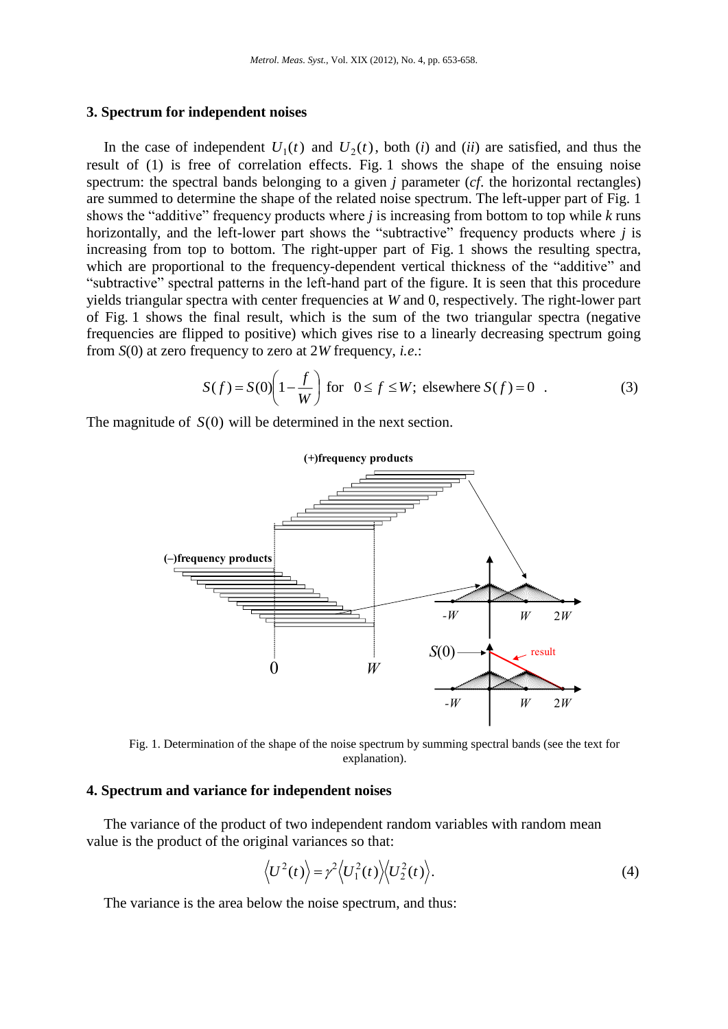### **3. Spectrum for independent noises**

In the case of independent  $U_1(t)$  and  $U_2(t)$ , both (*i*) and (*ii*) are satisfied, and thus the result of (1) is free of correlation effects. Fig. 1 shows the shape of the ensuing noise shows the "additive" frequency products where  $j$  is increasing from bottom to top while  $k$  runs spectrum: the spectral bands belonging to a given *j* parameter (*cf*. the horizontal rectangles) are summed to determine the shape of the related noise spectrum. The left-upper part of Fig. 1 horizontally, and the left-lower part shows the "subtractive" frequency products where *j* is increasing from top to bottom. The right-upper part of Fig. 1 shows the resulting spectra, which are proportional to the frequency-dependent vertical thickness of the "additive" and "subtractive" spectral patterns in the left-hand part of the figure. It is seen that this procedure yields triangular spectra with center frequencies at *W* and 0, respectively. The right-lower part of Fig. 1 shows the final result, which is the sum of the two triangular spectra (negative frequencies are flipped to positive) which gives rise to a linearly decreasing spectrum going from *S*(0) at zero frequency to zero at 2*W* frequency, *i.e*.:

$$
S(f) = S(0) \left( 1 - \frac{f}{W} \right) \text{ for } 0 \le f \le W; \text{ elsewhere } S(f) = 0 .
$$
 (3)

The magnitude of  $S(0)$  will be determined in the next section.



Fig. 1. Determination of the shape of the noise spectrum by summing spectral bands (see the text for explanation).

## **4. Spectrum and variance for independent noises**

The variance of the product of two independent random variables with random mean value is the product of the original variances so that:

$$
\langle U^2(t) \rangle = \gamma^2 \langle U_1^2(t) \rangle \langle U_2^2(t) \rangle.
$$
 (4)

The variance is the area below the noise spectrum, and thus: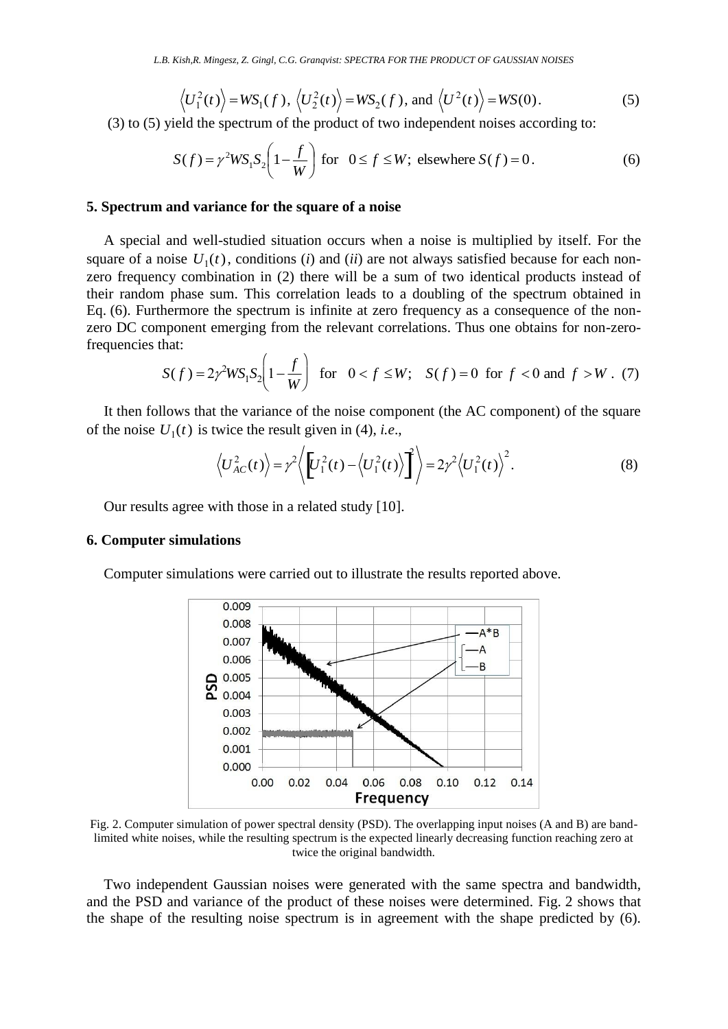$$
\langle U_1^2(t) \rangle = WS_1(f), \langle U_2^2(t) \rangle = WS_2(f), \text{ and } \langle U^2(t) \rangle = WS(0).
$$
 (5)

(3) to (5) yield the spectrum of the product of two independent noises according to:

$$
S(f) = \gamma^2 W S_1 S_2 \left( 1 - \frac{f}{W} \right) \text{ for } 0 \le f \le W; \text{ elsewhere } S(f) = 0. \tag{6}
$$

### **5. Spectrum and variance for the square of a noise**

A special and well-studied situation occurs when a noise is multiplied by itself. For the square of a noise  $U_1(t)$ , conditions *(i)* and *(ii)* are not always satisfied because for each non- zero frequency combination in (2) there will be a sum of two identical products instead of zero DC component emerging from the relevant correlations. Thus one obtains for non-zerotheir random phase sum. This correlation leads to a doubling of the spectrum obtained in Eq. (6). Furthermore the spectrum is infinite at zero frequency as a consequence of the nonfrequencies that:

$$
S(f) = 2\gamma^2 W S_1 S_2 \left(1 - \frac{f}{W}\right) \text{ for } 0 < f \le W; \quad S(f) = 0 \text{ for } f < 0 \text{ and } f > W. \tag{7}
$$

It then follows that the variance of the noise component (the AC component) of the square of the noise  $U_1(t)$  is twice the result given in (4), *i.e.*,

$$
\langle U_{AC}^2(t) \rangle = \gamma^2 \langle \left[ U_1^2(t) - \langle U_1^2(t) \rangle \right]^2 \rangle = 2\gamma^2 \langle U_1^2(t) \rangle^2.
$$
 (8)

Our results agree with those in a related study [10].

#### **6. Computer simulations**

Computer simulations were carried out to illustrate the results reported above.



Fig. 2. Computer simulation of power spectral density (PSD). The overlapping input noises (A and B) are bandlimited white noises, while the resulting spectrum is the expected linearly decreasing function reaching zero at twice the original bandwidth.

Two independent Gaussian noises were generated with the same spectra and bandwidth, and the PSD and variance of the product of these noises were determined. Fig. 2 shows that the shape of the resulting noise spectrum is in agreement with the shape predicted by (6).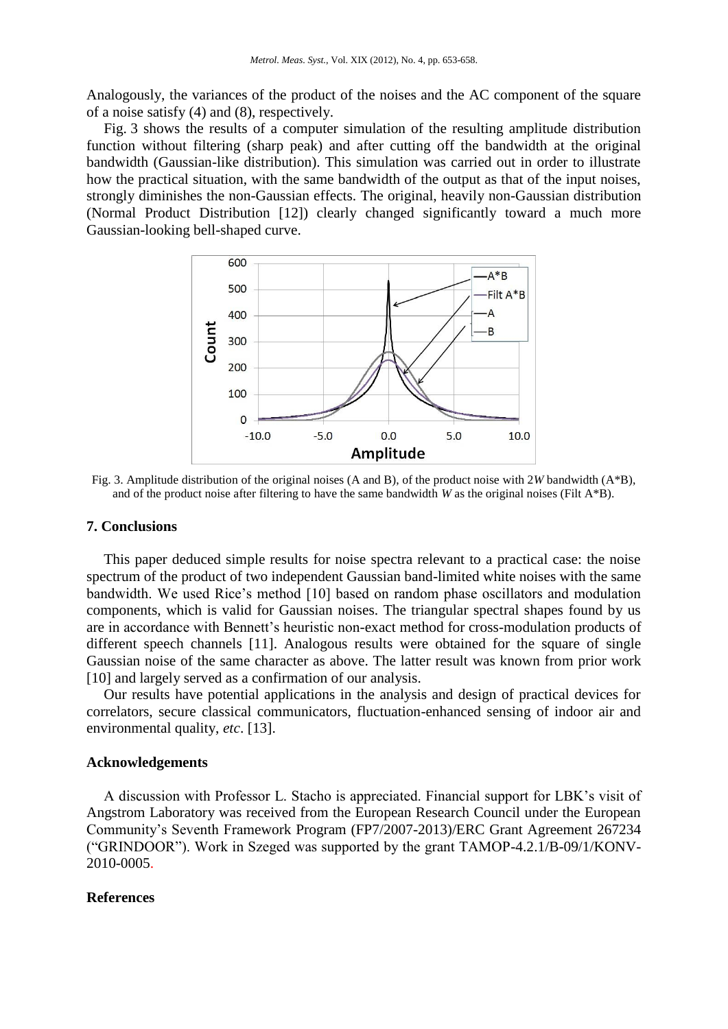Analogously, the variances of the product of the noises and the AC component of the square of a noise satisfy (4) and (8), respectively.

Fig. 3 shows the results of a computer simulation of the resulting amplitude distribution function without filtering (sharp peak) and after cutting off the bandwidth at the original bandwidth (Gaussian-like distribution). This simulation was carried out in order to illustrate how the practical situation, with the same bandwidth of the output as that of the input noises, strongly diminishes the non-Gaussian effects. The original, heavily non-Gaussian distribution (Normal Product Distribution [12]) clearly changed significantly toward a much more Gaussian-looking bell-shaped curve.



Fig. 3. Amplitude distribution of the original noises (A and B), of the product noise with 2*W* bandwidth (A\*B), and of the product noise after filtering to have the same bandwidth *W* as the original noises (Filt A\*B).

#### **7. Conclusions**

This paper deduced simple results for noise spectra relevant to a practical case: the noise spectrum of the product of two independent Gaussian band-limited white noises with the same bandwidth. We used Rice's method [10] based on random phase oscillators and modulation components, which is valid for Gaussian noises. The triangular spectral shapes found by us are in accordance with Bennett's heuristic non-exact method for cross-modulation products of different speech channels [11]. Analogous results were obtained for the square of single Gaussian noise of the same character as above. The latter result was known from prior work [10] and largely served as a confirmation of our analysis.

Our results have potential applications in the analysis and design of practical devices for correlators, secure classical communicators, fluctuation-enhanced sensing of indoor air and environmental quality, *etc*. [13].

### **Acknowledgements**

A discussion with Professor L. Stacho is appreciated. Financial support for LBK's visit of Angstrom Laboratory was received from the European Research Council under the European Community's Seventh Framework Program (FP7/2007-2013)/ERC Grant Agreement 267234 ("GRINDOOR"). Work in Szeged was supported by the grant TAMOP-4.2.1/B-09/1/KONV-2010-0005.

#### **References**